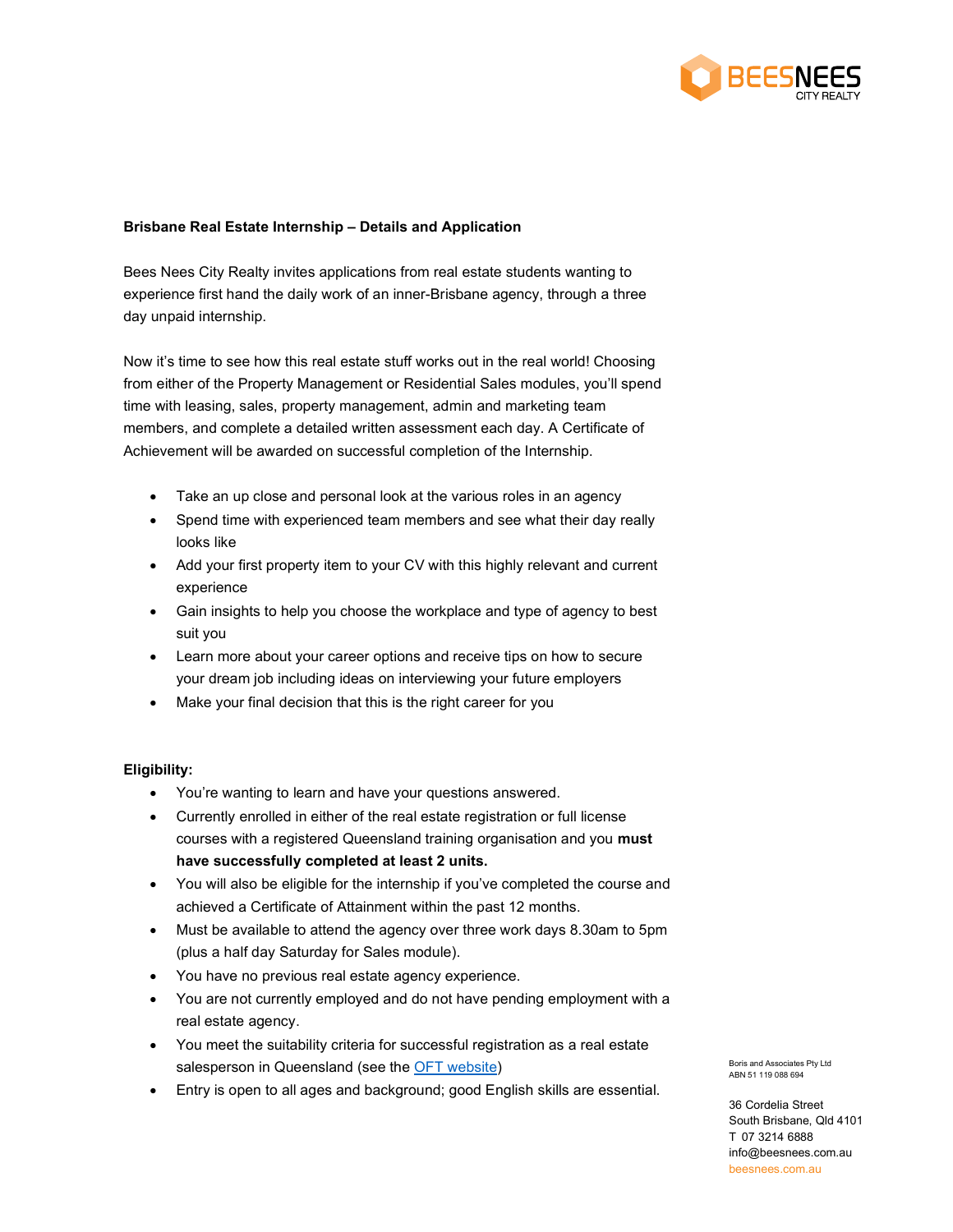

# Brisbane Real Estate Internship – Details and Application

Bees Nees City Realty invites applications from real estate students wanting to experience first hand the daily work of an inner-Brisbane agency, through a three day unpaid internship.

Now it's time to see how this real estate stuff works out in the real world! Choosing from either of the Property Management or Residential Sales modules, you'll spend time with leasing, sales, property management, admin and marketing team members, and complete a detailed written assessment each day. A Certificate of Achievement will be awarded on successful completion of the Internship.

- Take an up close and personal look at the various roles in an agency
- Spend time with experienced team members and see what their day really looks like
- Add your first property item to your CV with this highly relevant and current experience
- Gain insights to help you choose the workplace and type of agency to best suit you
- Learn more about your career options and receive tips on how to secure your dream job including ideas on interviewing your future employers
- Make your final decision that this is the right career for you

### Eligibility:

- You're wanting to learn and have your questions answered.
- Currently enrolled in either of the real estate registration or full license courses with a registered Queensland training organisation and you must have successfully completed at least 2 units.
- You will also be eligible for the internship if you've completed the course and achieved a Certificate of Attainment within the past 12 months.
- Must be available to attend the agency over three work days 8.30am to 5pm (plus a half day Saturday for Sales module).
- You have no previous real estate agency experience.
- You are not currently employed and do not have pending employment with a real estate agency.
- You meet the suitability criteria for successful registration as a real estate salesperson in Queensland (see the OFT website)
- Entry is open to all ages and background; good English skills are essential.

Boris and Associates Pty Ltd ABN 51 119 088 694

36 Cordelia Street South Brisbane, Qld 4101 T 07 3214 6888 info@beesnees.com.au beesnees.com.au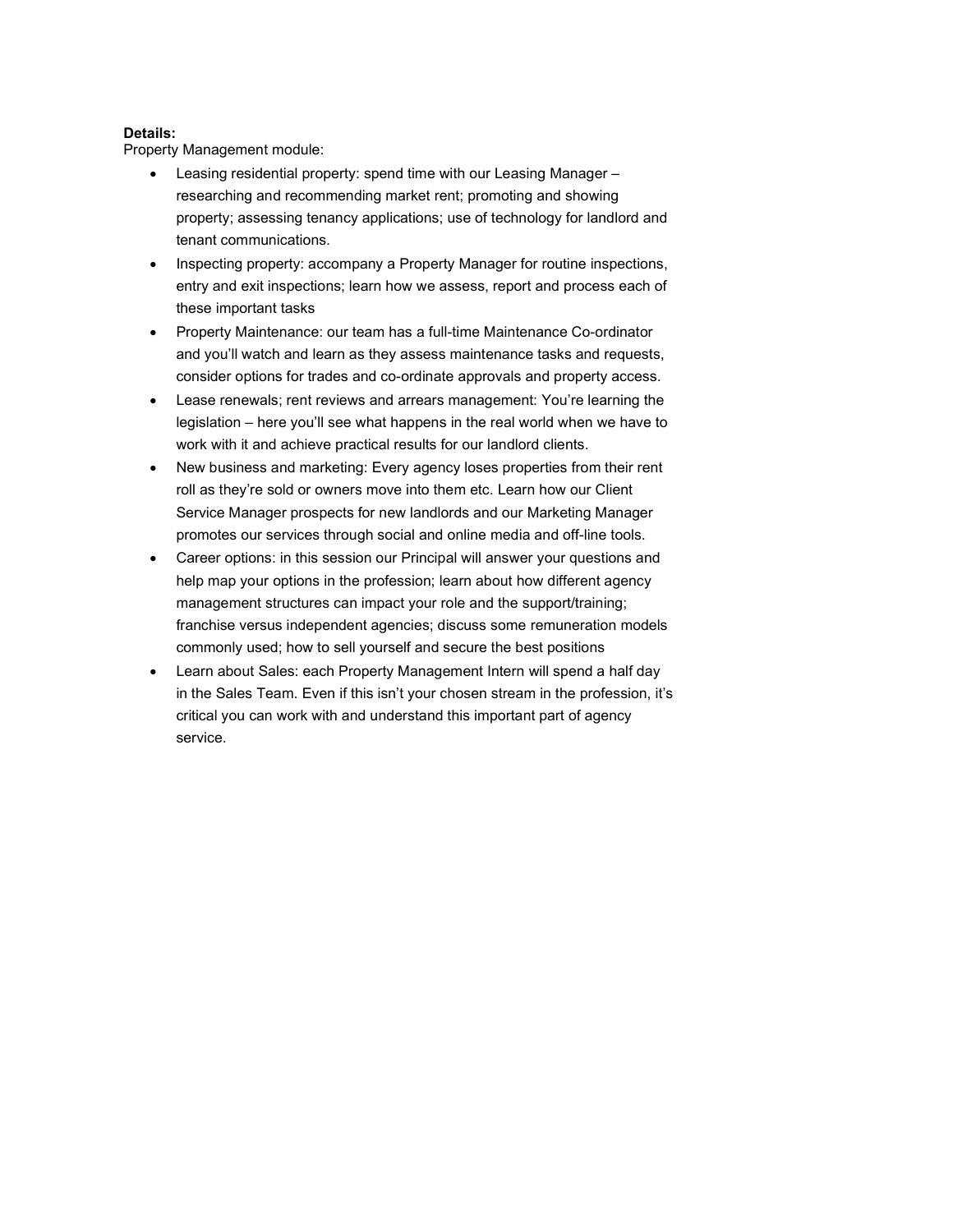## Details:

Property Management module:

- Leasing residential property: spend time with our Leasing Manager researching and recommending market rent; promoting and showing property; assessing tenancy applications; use of technology for landlord and tenant communications.
- Inspecting property: accompany a Property Manager for routine inspections, entry and exit inspections; learn how we assess, report and process each of these important tasks
- Property Maintenance: our team has a full-time Maintenance Co-ordinator and you'll watch and learn as they assess maintenance tasks and requests, consider options for trades and co-ordinate approvals and property access.
- Lease renewals; rent reviews and arrears management: You're learning the legislation – here you'll see what happens in the real world when we have to work with it and achieve practical results for our landlord clients.
- New business and marketing: Every agency loses properties from their rent roll as they're sold or owners move into them etc. Learn how our Client Service Manager prospects for new landlords and our Marketing Manager promotes our services through social and online media and off-line tools.
- Career options: in this session our Principal will answer your questions and help map your options in the profession; learn about how different agency management structures can impact your role and the support/training; franchise versus independent agencies; discuss some remuneration models commonly used; how to sell yourself and secure the best positions
- Learn about Sales: each Property Management Intern will spend a half day in the Sales Team. Even if this isn't your chosen stream in the profession, it's critical you can work with and understand this important part of agency service.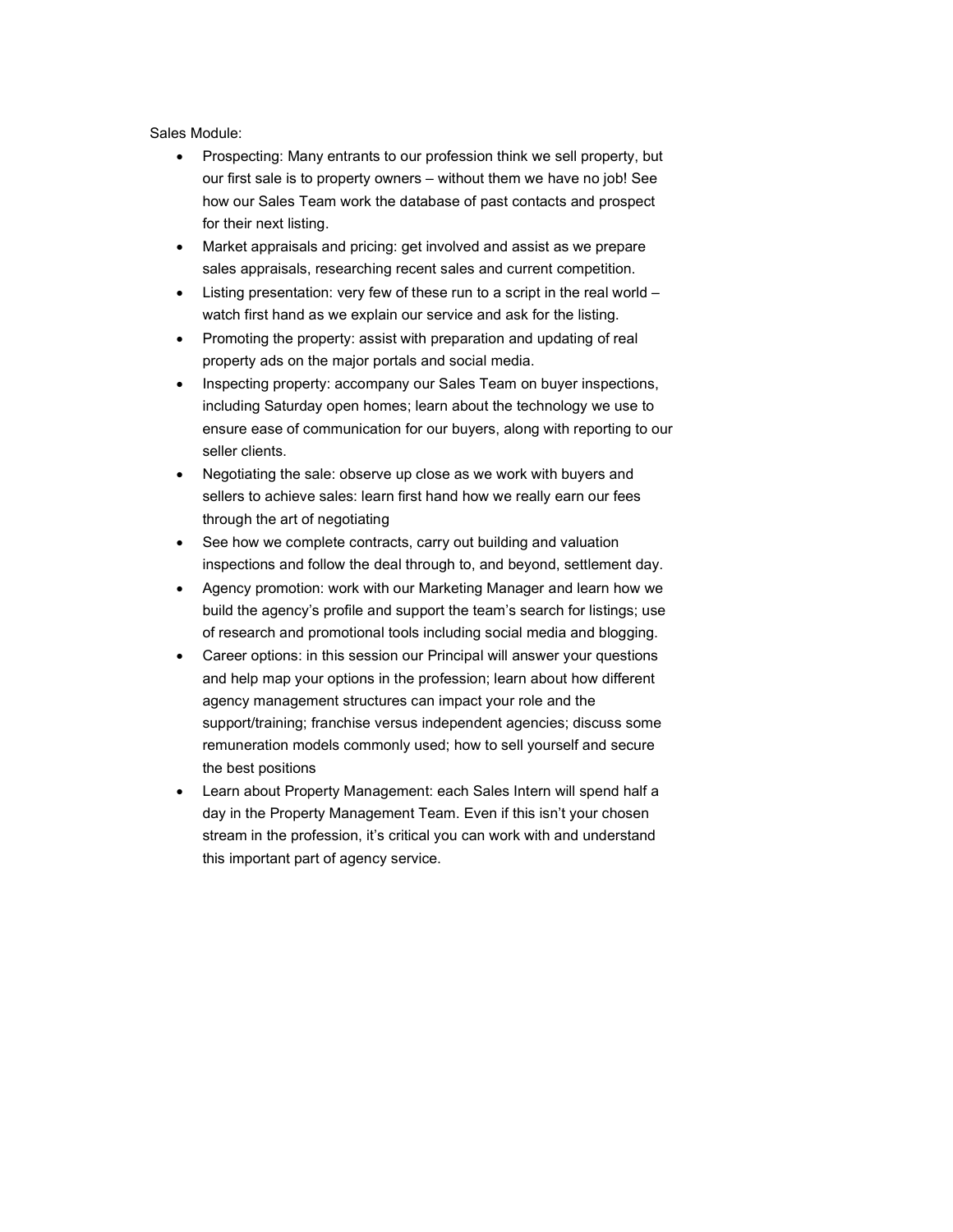Sales Module:

- Prospecting: Many entrants to our profession think we sell property, but our first sale is to property owners – without them we have no job! See how our Sales Team work the database of past contacts and prospect for their next listing.
- Market appraisals and pricing: get involved and assist as we prepare sales appraisals, researching recent sales and current competition.
- Listing presentation: very few of these run to a script in the real world watch first hand as we explain our service and ask for the listing.
- Promoting the property: assist with preparation and updating of real property ads on the major portals and social media.
- Inspecting property: accompany our Sales Team on buyer inspections, including Saturday open homes; learn about the technology we use to ensure ease of communication for our buyers, along with reporting to our seller clients.
- Negotiating the sale: observe up close as we work with buyers and sellers to achieve sales: learn first hand how we really earn our fees through the art of negotiating
- See how we complete contracts, carry out building and valuation inspections and follow the deal through to, and beyond, settlement day.
- Agency promotion: work with our Marketing Manager and learn how we build the agency's profile and support the team's search for listings; use of research and promotional tools including social media and blogging.
- Career options: in this session our Principal will answer your questions and help map your options in the profession; learn about how different agency management structures can impact your role and the support/training; franchise versus independent agencies; discuss some remuneration models commonly used; how to sell yourself and secure the best positions
- Learn about Property Management: each Sales Intern will spend half a day in the Property Management Team. Even if this isn't your chosen stream in the profession, it's critical you can work with and understand this important part of agency service.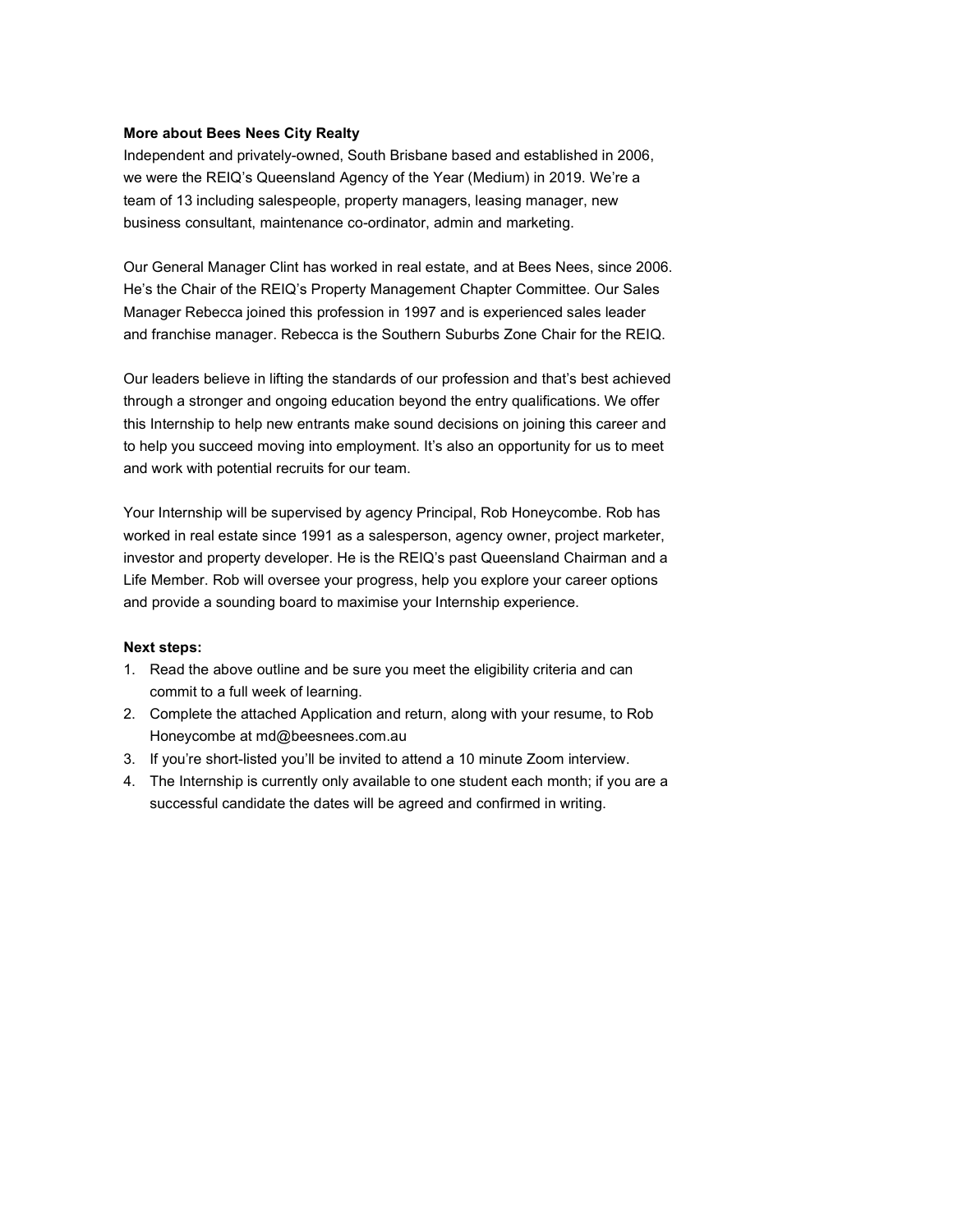#### More about Bees Nees City Realty

Independent and privately-owned, South Brisbane based and established in 2006, we were the REIQ's Queensland Agency of the Year (Medium) in 2019. We're a team of 13 including salespeople, property managers, leasing manager, new business consultant, maintenance co-ordinator, admin and marketing.

Our General Manager Clint has worked in real estate, and at Bees Nees, since 2006. He's the Chair of the REIQ's Property Management Chapter Committee. Our Sales Manager Rebecca joined this profession in 1997 and is experienced sales leader and franchise manager. Rebecca is the Southern Suburbs Zone Chair for the REIQ.

Our leaders believe in lifting the standards of our profession and that's best achieved through a stronger and ongoing education beyond the entry qualifications. We offer this Internship to help new entrants make sound decisions on joining this career and to help you succeed moving into employment. It's also an opportunity for us to meet and work with potential recruits for our team.

Your Internship will be supervised by agency Principal, Rob Honeycombe. Rob has worked in real estate since 1991 as a salesperson, agency owner, project marketer, investor and property developer. He is the REIQ's past Queensland Chairman and a Life Member. Rob will oversee your progress, help you explore your career options and provide a sounding board to maximise your Internship experience.

#### Next steps:

- 1. Read the above outline and be sure you meet the eligibility criteria and can commit to a full week of learning.
- 2. Complete the attached Application and return, along with your resume, to Rob Honeycombe at md@beesnees.com.au
- 3. If you're short-listed you'll be invited to attend a 10 minute Zoom interview.
- 4. The Internship is currently only available to one student each month; if you are a successful candidate the dates will be agreed and confirmed in writing.